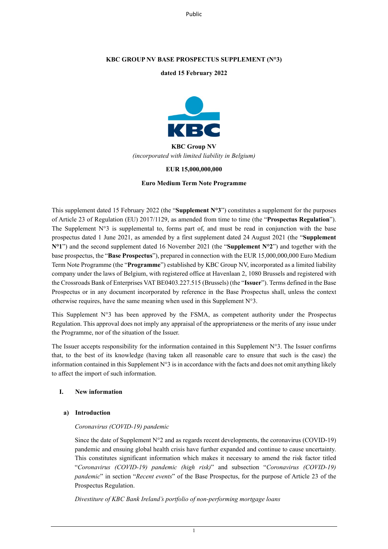Public

## **KBC GROUP NV BASE PROSPECTUS SUPPLEMENT (N°3)**

## **dated 15 February 2022**



# **KBC Group NV** *(incorporated with limited liability in Belgium)*

## **EUR 15,000,000,000**

#### **Euro Medium Term Note Programme**

This supplement dated 15 February 2022 (the "**Supplement N°3**") constitutes a supplement for the purposes of Article 23 of Regulation (EU) 2017/1129, as amended from time to time (the "**Prospectus Regulation**"). The Supplement  $N^{\circ}3$  is supplemental to, forms part of, and must be read in conjunction with the base prospectus dated 1 June 2021, as amended by a first supplement dated 24 August 2021 (the "**Supplement N°1**") and the second supplement dated 16 November 2021 (the "**Supplement N°2**") and together with the base prospectus, the "**Base Prospectus**"), prepared in connection with the EUR 15,000,000,000 Euro Medium Term Note Programme (the "**Programme**") established by KBC Group NV, incorporated as a limited liability company under the laws of Belgium, with registered office at Havenlaan 2, 1080 Brussels and registered with the Crossroads Bank of Enterprises VAT BE0403.227.515 (Brussels) (the "**Issuer**"). Terms defined in the Base Prospectus or in any document incorporated by reference in the Base Prospectus shall, unless the context otherwise requires, have the same meaning when used in this Supplement N°3.

This Supplement  $N^{\circ}$  has been approved by the FSMA, as competent authority under the Prospectus Regulation. This approval does not imply any appraisal of the appropriateness or the merits of any issue under the Programme, nor of the situation of the Issuer.

The Issuer accepts responsibility for the information contained in this Supplement  $N^{\circ}3$ . The Issuer confirms that, to the best of its knowledge (having taken all reasonable care to ensure that such is the case) the information contained in this Supplement  $N^{\circ}3$  is in accordance with the facts and does not omit anything likely to affect the import of such information.

## **I. New information**

## **a) Introduction**

#### *Coronavirus (COVID-19) pandemic*

Since the date of Supplement  $N^{\circ}2$  and as regards recent developments, the coronavirus (COVID-19) pandemic and ensuing global health crisis have further expanded and continue to cause uncertainty. This constitutes significant information which makes it necessary to amend the risk factor titled "*Coronavirus (COVID-19) pandemic (high risk)*" and subsection "*Coronavirus (COVID-19) pandemic*" in section "*Recent events*" of the Base Prospectus, for the purpose of Article 23 of the Prospectus Regulation.

*Divestiture of KBC Bank Ireland's portfolio of non-performing mortgage loans*

1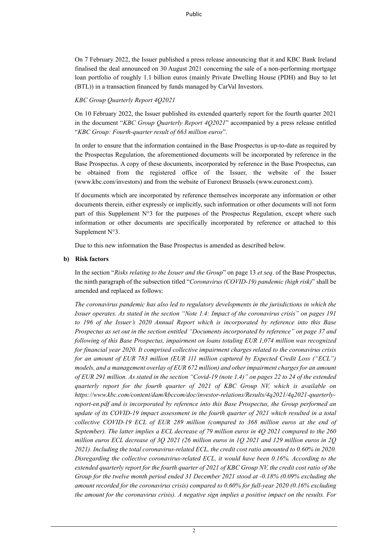On 7 February 2022, the Issuer published a press release announcing that it and KBC Bank Ireland finalised the deal announced on 30 August 2021 concerning the sale of a non-performing mortgage loan portfolio of roughly 1.1 billion euros (mainly Private Dwelling House (PDH) and Buy to let (BTL)) in a transaction financed by funds managed by CarVal Investors.

*KBC Group Quarterly Report 4Q2021*

On 10 February 2022, the Issuer published its extended quarterly report for the fourth quarter 2021 in the document "*KBC Group Quarterly Report 4Q2021*" accompanied by a press release entitled "*KBC Group: Fourth-quarter result of 663 million euros*".

In order to ensure that the information contained in the Base Prospectus is up-to-date as required by the Prospectus Regulation, the aforementioned documents will be incorporated by reference in the Base Prospectus. A copy of these documents, incorporated by reference in the Base Prospectus, can be obtained from the registered office of the Issuer, the website of the Issuer (www.kbc.com/investors) and from the website of Euronext Brussels (www.euronext.com).

If documents which are incorporated by reference themselves incorporate any information or other documents therein, either expressly or implicitly, such information or other documents will not form part of this Supplement  $N^{\circ}3$  for the purposes of the Prospectus Regulation, except where such information or other documents are specifically incorporated by reference or attached to this Supplement N°3.

Due to this new information the Base Prospectus is amended as described below.

## **b) Risk factors**

In the section "*Risks relating to the Issuer and the Group*" on page 13 *et seq*. of the Base Prospectus, the ninth paragraph of the subsection titled "*Coronavirus (COVID-19) pandemic (high risk)*" shall be amended and replaced as follows:

*The coronavirus pandemic has also led to regulatory developments in the jurisdictions in which the Issuer operates. As stated in the section "Note 1.4: Impact of the coronavirus crisis" on pages 191 to 196 of the Issuer's 2020 Annual Report which is incorporated by reference into this Base Prospectus as set out in the section entitled "Documents incorporated by reference" on page 37 and following of this Base Prospectus, impairment on loans totaling EUR 1,074 million was recognized for financial year 2020. It comprised collective impairment charges related to the coronavirus crisis for an amount of EUR 783 million (EUR 111 million captured by Expected Credit Loss ("ECL") models, and a management overlay of EUR 672 million) and other impairment charges for an amount of EUR 291 million. As stated in the section "Covid-19 (note 1.4)" on pages 22 to 24 of the extended quarterly report for the fourth quarter of 2021 of KBC Group NV, which is available on https://www.kbc.com/content/dam/kbccom/doc/investor-relations/Results/4q2021/4q2021-quarterlyreport-en.pdf and is incorporated by reference into this Base Prospectus, the Group performed an update of its COVID-19 impact assessment in the fourth quarter of 2021 which resulted in a total collective COVID-19 ECL of EUR 289 million (compared to 368 million euros at the end of September). The latter implies a ECL decrease of 79 million euros in 4Q 2021 compared to the 260 million euros ECL decrease of 3Q 2021 (26 million euros in 1Q 2021 and 129 million euros in 2Q 2021). Including the total coronavirus-related ECL, the credit cost ratio amounted to 0.60% in 2020. Disregarding the collective coronavirus-related ECL, it would have been 0.16%. According to the extended quarterly report for the fourth quarter of 2021 of KBC Group NV, the credit cost ratio of the Group for the twelve month period ended 31 December 2021 stood at -0.18% (0.09% excluding the amount recorded for the coronavirus crisis) compared to 0.60% for full-year 2020 (0.16% excluding the amount for the coronavirus crisis). A negative sign implies a positive impact on the results. For*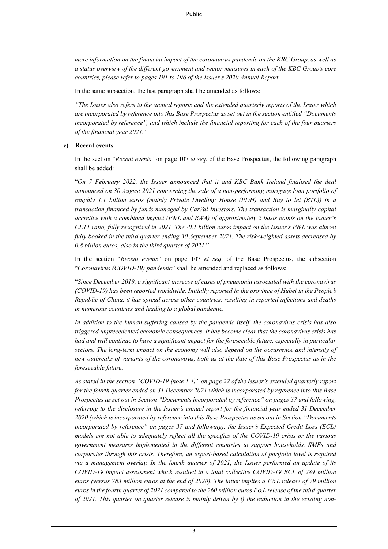*more information on the financial impact of the coronavirus pandemic on the KBC Group, as well as a status overview of the different government and sector measures in each of the KBC Group's core countries, please refer to pages 191 to 196 of the Issuer's 2020 Annual Report.* 

In the same subsection, the last paragraph shall be amended as follows:

*"The Issuer also refers to the annual reports and the extended quarterly reports of the Issuer which are incorporated by reference into this Base Prospectus as set out in the section entitled "Documents incorporated by reference", and which include the financial reporting for each of the four quarters of the financial year 2021."*

#### **c) Recent events**

In the section "*Recent events*" on page 107 *et seq.* of the Base Prospectus, the following paragraph shall be added:

"*On 7 February 2022, the Issuer announced that it and KBC Bank Ireland finalised the deal announced on 30 August 2021 concerning the sale of a non-performing mortgage loan portfolio of roughly 1.1 billion euros (mainly Private Dwelling House (PDH) and Buy to let (BTL)) in a transaction financed by funds managed by CarVal Investors. The transaction is marginally capital accretive with a combined impact (P&L and RWA) of approximately 2 basis points on the Issuer's CET1 ratio, fully recognised in 2021. The -0.1 billion euros impact on the Issuer's P&L was almost fully booked in the third quarter ending 30 September 2021. The risk-weighted assets decreased by 0.8 billion euros, also in the third quarter of 2021.*"

In the section "*Recent events*" on page 107 *et seq*. of the Base Prospectus, the subsection "*Coronavirus (COVID-19) pandemic*" shall be amended and replaced as follows:

"*Since December 2019, a significant increase of cases of pneumonia associated with the coronavirus (COVID-19) has been reported worldwide. Initially reported in the province of Hubei in the People's Republic of China, it has spread across other countries, resulting in reported infections and deaths in numerous countries and leading to a global pandemic.*

*In addition to the human suffering caused by the pandemic itself, the coronavirus crisis has also triggered unprecedented economic consequences. It has become clear that the coronavirus crisis has had and will continue to have a significant impact for the foreseeable future, especially in particular sectors. The long-term impact on the economy will also depend on the occurrence and intensity of new outbreaks of variants of the coronavirus, both as at the date of this Base Prospectus as in the foreseeable future.*

*As stated in the section "COVID-19 (note 1.4)" on page 22 of the Issuer's extended quarterly report for the fourth quarter ended on 31 December 2021 which is incorporated by reference into this Base Prospectus as set out in Section "Documents incorporated by reference" on pages 37 and following, referring to the disclosure in the Issuer's annual report for the financial year ended 31 December 2020 (which is incorporated by reference into this Base Prospectus as set out in Section "Documents incorporated by reference" on pages 37 and following), the Issuer's Expected Credit Loss (ECL) models are not able to adequately reflect all the specifics of the COVID-19 crisis or the various government measures implemented in the different countries to support households, SMEs and corporates through this crisis. Therefore, an expert-based calculation at portfolio level is required via a management overlay. In the fourth quarter of 2021, the Issuer performed an update of its COVID-19 impact assessment which resulted in a total collective COVID-19 ECL of 289 million euros (versus 783 million euros at the end of 2020). The latter implies a P&L release of 79 million euros in the fourth quarter of 2021 compared to the 260 million euros P&L release of the third quarter of 2021. This quarter on quarter release is mainly driven by i) the reduction in the existing non-*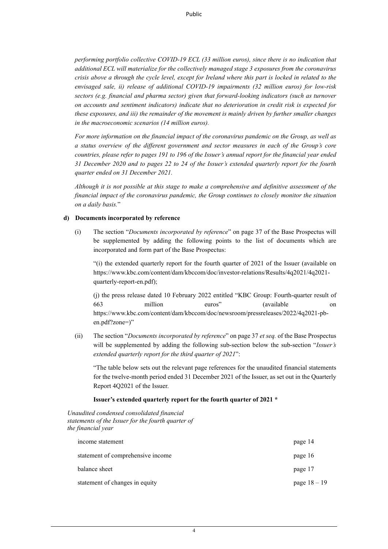*performing portfolio collective COVID-19 ECL (33 million euros), since there is no indication that additional ECL will materialize for the collectively managed stage 3 exposures from the coronavirus crisis above a through the cycle level, except for Ireland where this part is locked in related to the envisaged sale, ii) release of additional COVID-19 impairments (32 million euros) for low-risk sectors (e.g. financial and pharma sector) given that forward-looking indicators (such as turnover on accounts and sentiment indicators) indicate that no deterioration in credit risk is expected for these exposures, and iii) the remainder of the movement is mainly driven by further smaller changes in the macroeconomic scenarios (14 million euros).*

*For more information on the financial impact of the coronavirus pandemic on the Group, as well as a status overview of the different government and sector measures in each of the Group's core countries, please refer to pages 191 to 196 of the Issuer's annual report for the financial year ended 31 December 2020 and to pages 22 to 24 of the Issuer's extended quarterly report for the fourth quarter ended on 31 December 2021.*

*Although it is not possible at this stage to make a comprehensive and definitive assessment of the financial impact of the coronavirus pandemic, the Group continues to closely monitor the situation on a daily basis.*"

### **d) Documents incorporated by reference**

(i) The section "*Documents incorporated by reference*" on page 37 of the Base Prospectus will be supplemented by adding the following points to the list of documents which are incorporated and form part of the Base Prospectus:

"(i) the extended quarterly report for the fourth quarter of 2021 of the Issuer (available on https://www.kbc.com/content/dam/kbccom/doc/investor-relations/Results/4q2021/4q2021 quarterly-report-en.pdf);

(j) the press release dated 10 February 2022 entitled "KBC Group: Fourth-quarter result of 663 million euros" (available on https://www.kbc.com/content/dam/kbccom/doc/newsroom/pressreleases/2022/4q2021-pben.pdf?zone=)"

(ii) The section "*Documents incorporated by reference*" on page 37 *et seq.* of the Base Prospectus will be supplemented by adding the following sub-section below the sub-section "*Issuer's extended quarterly report for the third quarter of 2021*":

"The table below sets out the relevant page references for the unaudited financial statements for the twelve-month period ended 31 December 2021 of the Issuer, as set out in the Quarterly Report 4Q2021 of the Issuer.

### **Issuer's extended quarterly report for the fourth quarter of 2021 \***

*Unaudited condensed consolidated financial statements of the Issuer for the fourth quarter of the financial year*

| income statement                  | page 14        |
|-----------------------------------|----------------|
| statement of comprehensive income | page 16        |
| balance sheet                     | page 17        |
| statement of changes in equity    | page $18 - 19$ |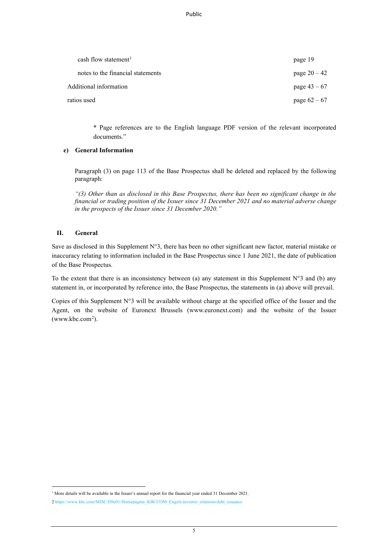Public

| cash flow statement <sup>1</sup>  | page 19        |
|-----------------------------------|----------------|
| notes to the financial statements | page $20 - 42$ |
| Additional information            | page $43 - 67$ |
| ratios used                       | page $62 - 67$ |

\* Page references are to the English language PDF version of the relevant incorporated documents."

# **e) General Information**

Paragraph (3) on page 113 of the Base Prospectus shall be deleted and replaced by the following paragraph:

*"(3) Other than as disclosed in this Base Prospectus, there has been no significant change in the financial or trading position of the Issuer since 31 December 2021 and no material adverse change in the prospects of the Issuer since 31 December 2020."* 

## **II. General**

Save as disclosed in this Supplement N°3, there has been no other significant new factor, material mistake or inaccuracy relating to information included in the Base Prospectus since 1 June 2021, the date of publication of the Base Prospectus.

To the extent that there is an inconsistency between (a) any statement in this Supplement N°3 and (b) any statement in, or incorporated by reference into, the Base Prospectus, the statements in (a) above will prevail.

Copies of this Supplement N°3 will be available without charge at the specified office of the Issuer and the Agent, on the website of Euronext Brussels (www.euronext.com) and the website of the Issuer  $(www.kbc.com<sup>2</sup>).$  $(www.kbc.com<sup>2</sup>).$  $(www.kbc.com<sup>2</sup>).$ 

<span id="page-4-0"></span><sup>&</sup>lt;sup>1</sup> More details will be available in the Issuer's annual report for the financial year ended 31 December 2021.

<span id="page-4-1"></span><sup>2</sup> [https://www.kbc.com/MISC/D9e01/Homepagina\\_KBCCOM\\_Engels/investor\\_relations/debt\\_issuance](https://www.kbc.com/MISC/D9e01/Homepagina_KBCCOM_Engels/investor_relations/debt_issuance)